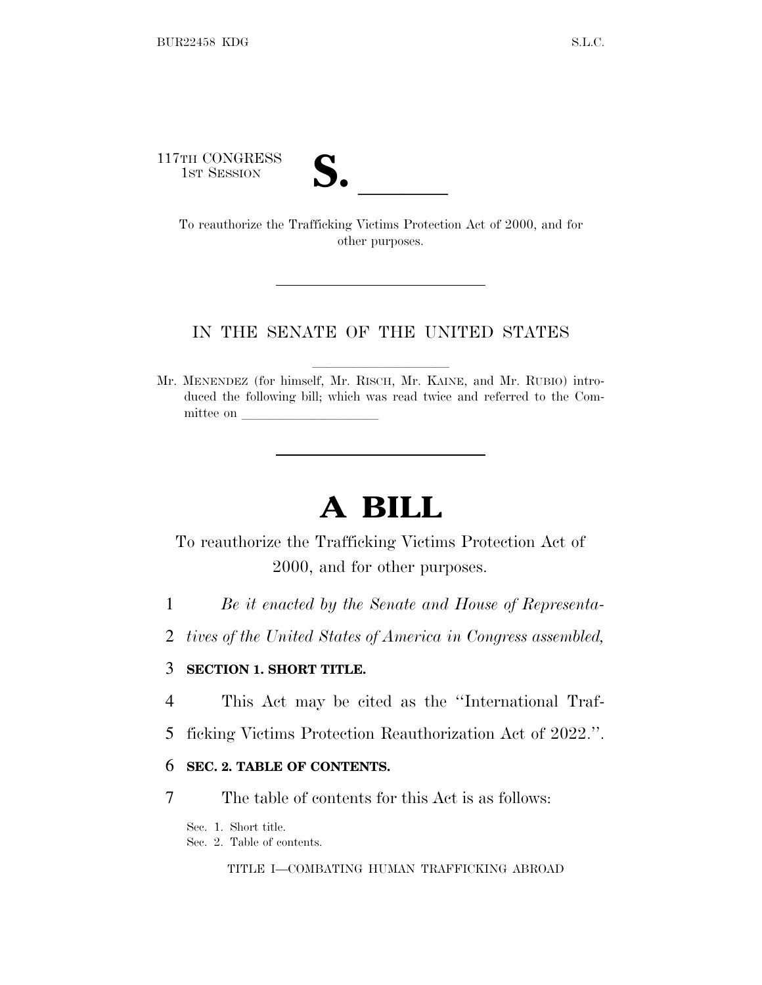117TH CONGRESS



TH CONGRESS<br>
1ST SESSION<br>
To reauthorize the Trafficking Victims Protection Act of 2000, and for other purposes.

#### IN THE SENATE OF THE UNITED STATES

Mr. MENENDEZ (for himself, Mr. RISCH, Mr. KAINE, and Mr. RUBIO) introduced the following bill; which was read twice and referred to the Committee on

# **A BILL**

To reauthorize the Trafficking Victims Protection Act of 2000, and for other purposes.

- 1 *Be it enacted by the Senate and House of Representa-*
- 2 *tives of the United States of America in Congress assembled,*

#### 3 **SECTION 1. SHORT TITLE.**

- 4 This Act may be cited as the ''International Traf-
- 5 ficking Victims Protection Reauthorization Act of 2022.''.

#### 6 **SEC. 2. TABLE OF CONTENTS.**

7 The table of contents for this Act is as follows:

Sec. 1. Short title.

Sec. 2. Table of contents.

TITLE I—COMBATING HUMAN TRAFFICKING ABROAD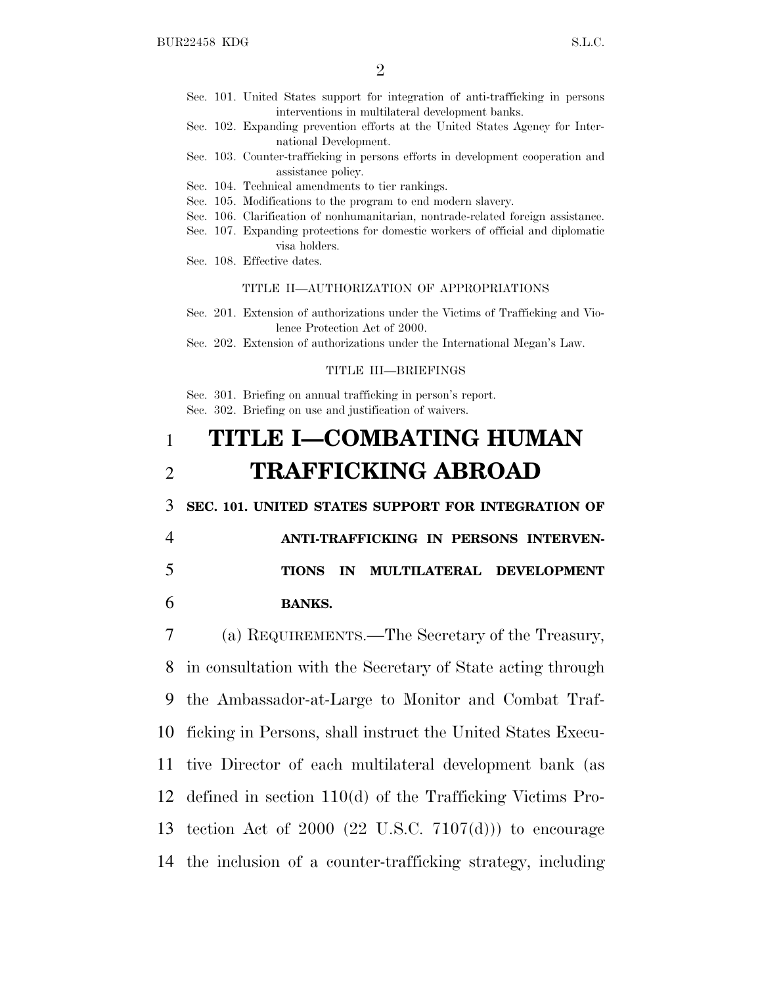- Sec. 101. United States support for integration of anti-trafficking in persons interventions in multilateral development banks.
- Sec. 102. Expanding prevention efforts at the United States Agency for International Development.
- Sec. 103. Counter-trafficking in persons efforts in development cooperation and assistance policy.
- Sec. 104. Technical amendments to tier rankings.
- Sec. 105. Modifications to the program to end modern slavery.
- Sec. 106. Clarification of nonhumanitarian, nontrade-related foreign assistance.
- Sec. 107. Expanding protections for domestic workers of official and diplomatic visa holders.
- Sec. 108. Effective dates.

#### TITLE II—AUTHORIZATION OF APPROPRIATIONS

- Sec. 201. Extension of authorizations under the Victims of Trafficking and Violence Protection Act of 2000.
- Sec. 202. Extension of authorizations under the International Megan's Law.

#### TITLE III—BRIEFINGS

Sec. 301. Briefing on annual trafficking in person's report. Sec. 302. Briefing on use and justification of waivers.

# 1 **TITLE I—COMBATING HUMAN** 2 **TRAFFICKING ABROAD**

3 **SEC. 101. UNITED STATES SUPPORT FOR INTEGRATION OF**

4 **ANTI-TRAFFICKING IN PERSONS INTERVEN-**5 **TIONS IN MULTILATERAL DEVELOPMENT** 6 **BANKS.**

 (a) REQUIREMENTS.—The Secretary of the Treasury, in consultation with the Secretary of State acting through the Ambassador-at-Large to Monitor and Combat Traf- ficking in Persons, shall instruct the United States Execu- tive Director of each multilateral development bank (as defined in section 110(d) of the Trafficking Victims Pro- tection Act of 2000 (22 U.S.C. 7107(d))) to encourage the inclusion of a counter-trafficking strategy, including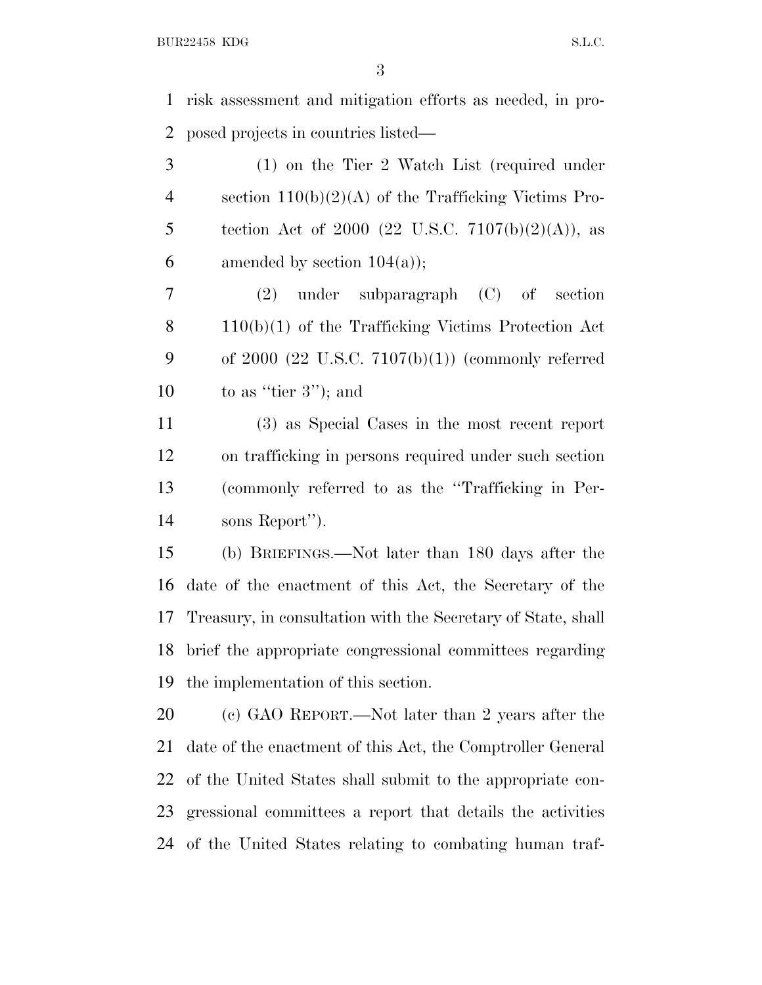risk assessment and mitigation efforts as needed, in pro-posed projects in countries listed—

 (1) on the Tier 2 Watch List (required under section 110(b)(2)(A) of the Trafficking Victims Pro-5 tection Act of 2000 (22 U.S.C.  $7107(b)(2)(A)$ ), as 6 amended by section  $104(a)$ ;

 (2) under subparagraph (C) of section 110(b)(1) of the Trafficking Victims Protection Act 9 of 2000  $(22 \text{ U.S.C. } 7107(b)(1))$  (commonly referred 10 to as "tier 3"); and

 (3) as Special Cases in the most recent report on trafficking in persons required under such section (commonly referred to as the ''Trafficking in Per-sons Report'').

 (b) BRIEFINGS.—Not later than 180 days after the date of the enactment of this Act, the Secretary of the Treasury, in consultation with the Secretary of State, shall brief the appropriate congressional committees regarding the implementation of this section.

 (c) GAO REPORT.—Not later than 2 years after the date of the enactment of this Act, the Comptroller General of the United States shall submit to the appropriate con- gressional committees a report that details the activities of the United States relating to combating human traf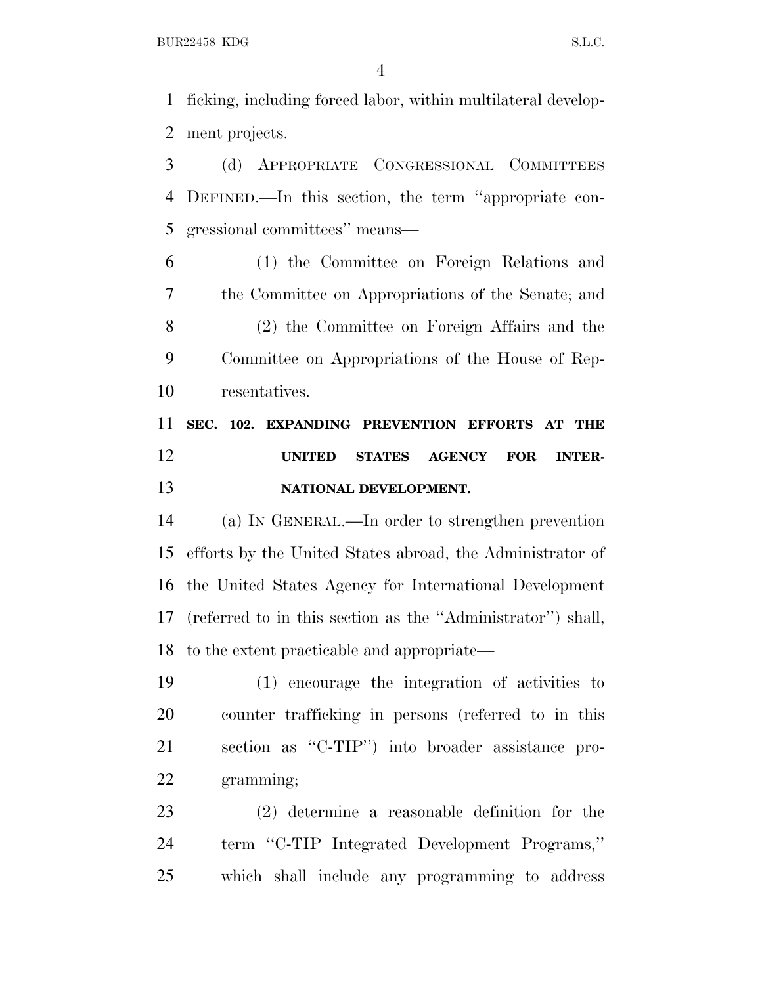BUR22458 KDG S.L.C.

 ficking, including forced labor, within multilateral develop-ment projects.

 (d) APPROPRIATE CONGRESSIONAL COMMITTEES DEFINED.—In this section, the term ''appropriate con-gressional committees'' means—

 (1) the Committee on Foreign Relations and the Committee on Appropriations of the Senate; and (2) the Committee on Foreign Affairs and the Committee on Appropriations of the House of Rep-resentatives.

 **SEC. 102. EXPANDING PREVENTION EFFORTS AT THE UNITED STATES AGENCY FOR INTER-NATIONAL DEVELOPMENT.**

 (a) I<sup>N</sup> GENERAL.—In order to strengthen prevention efforts by the United States abroad, the Administrator of the United States Agency for International Development (referred to in this section as the ''Administrator'') shall, to the extent practicable and appropriate—

 (1) encourage the integration of activities to counter trafficking in persons (referred to in this section as ''C-TIP'') into broader assistance pro-gramming;

 (2) determine a reasonable definition for the term ''C-TIP Integrated Development Programs,'' which shall include any programming to address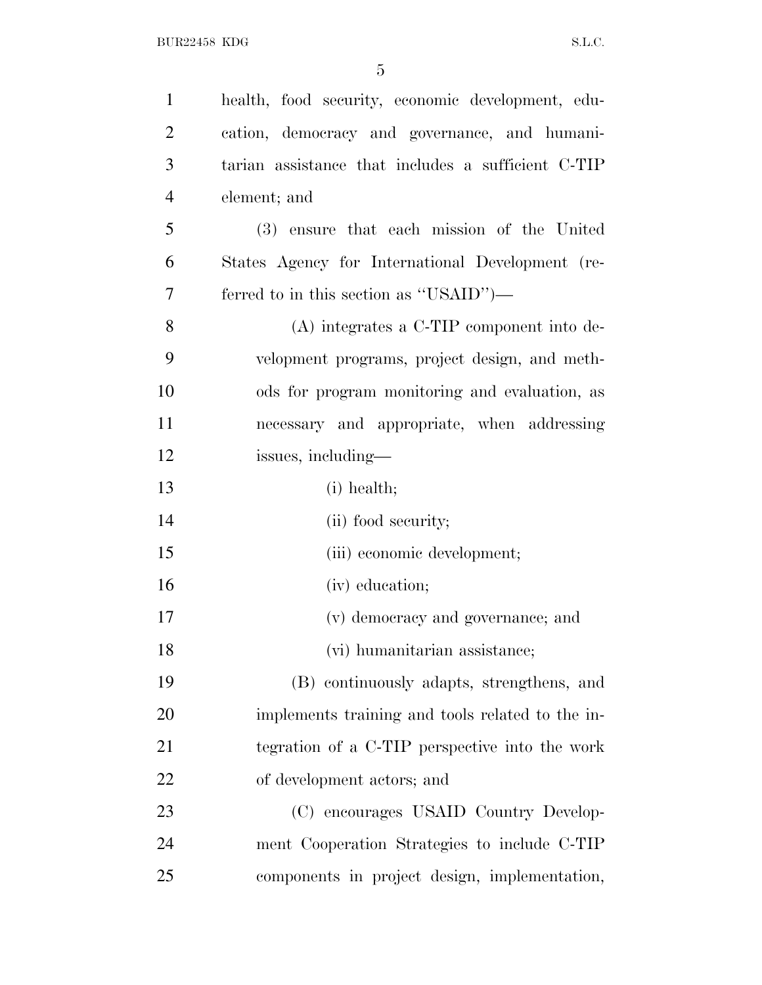| $\mathbf{1}$   | health, food security, economic development, edu-  |
|----------------|----------------------------------------------------|
| $\overline{2}$ | cation, democracy and governance, and humani-      |
| 3              | tarian assistance that includes a sufficient C-TIP |
| $\overline{4}$ | element; and                                       |
| 5              | (3) ensure that each mission of the United         |
| 6              | States Agency for International Development (re-   |
| 7              | ferred to in this section as "USAID")—             |
| 8              | $(A)$ integrates a C-TIP component into de-        |
| 9              | velopment programs, project design, and meth-      |
| 10             | ods for program monitoring and evaluation, as      |
| 11             | necessary and appropriate, when addressing         |
| 12             | issues, including—                                 |
| 13             | (i) health;                                        |
| 14             | (ii) food security;                                |
| 15             | (iii) economic development;                        |
| 16             | (iv) education;                                    |
| 17             | (v) democracy and governance; and                  |
| 18             | (vi) humanitarian assistance;                      |
| 19             | (B) continuously adapts, strengthens, and          |
| 20             | implements training and tools related to the in-   |
| 21             | tegration of a C-TIP perspective into the work     |
| 22             | of development actors; and                         |
| 23             | (C) encourages USAID Country Develop-              |
| 24             | ment Cooperation Strategies to include C-TIP       |
| 25             | components in project design, implementation,      |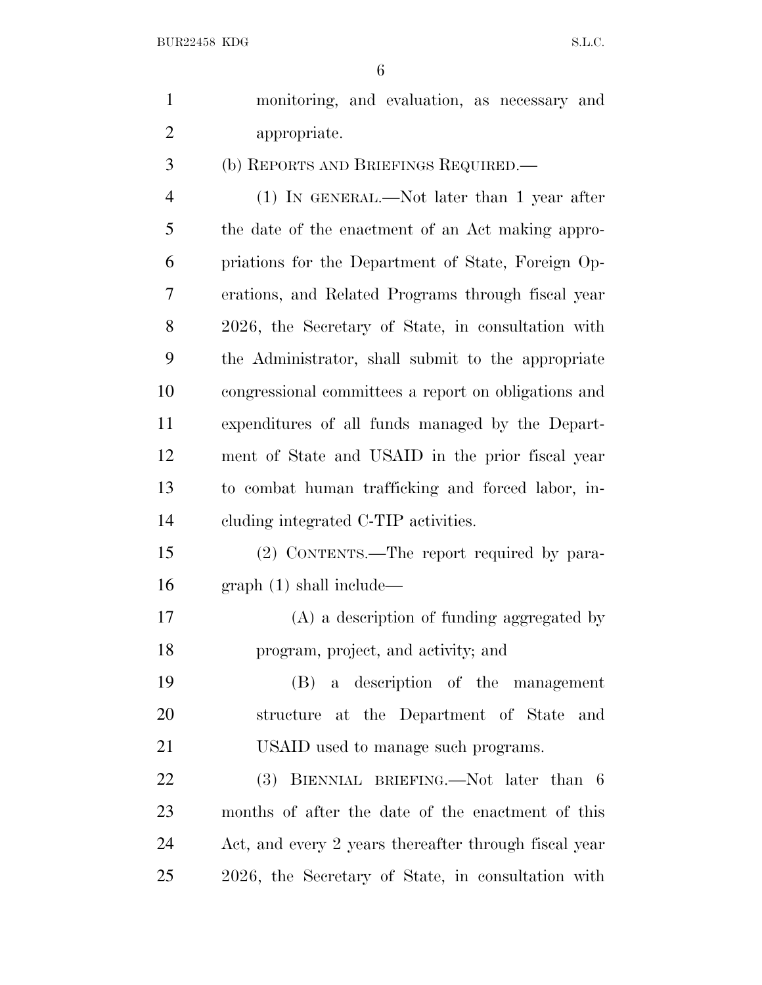| $\mathbf{1}$   | monitoring, and evaluation, as necessary and          |
|----------------|-------------------------------------------------------|
| $\mathfrak{2}$ | appropriate.                                          |
| 3              | (b) REPORTS AND BRIEFINGS REQUIRED.—                  |
| $\overline{4}$ | $(1)$ IN GENERAL.—Not later than 1 year after         |
| 5              | the date of the enactment of an Act making appro-     |
| 6              | priations for the Department of State, Foreign Op-    |
| 7              | erations, and Related Programs through fiscal year    |
| 8              | 2026, the Secretary of State, in consultation with    |
| 9              | the Administrator, shall submit to the appropriate    |
| 10             | congressional committees a report on obligations and  |
| 11             | expenditures of all funds managed by the Depart-      |
| 12             | ment of State and USAID in the prior fiscal year      |
| 13             | to combat human trafficking and forced labor, in-     |
| 14             | eluding integrated C-TIP activities.                  |
| 15             | (2) CONTENTS.—The report required by para-            |
| 16             | graph(1) shall include—                               |
| 17             | (A) a description of funding aggregated by            |
| 18             | program, project, and activity; and                   |
| 19             | (B) a description of the management                   |
| 20             | structure at the Department of State and              |
| 21             | USAID used to manage such programs.                   |
| 22             | (3) BIENNIAL BRIEFING.—Not later than 6               |
| 23             | months of after the date of the enactment of this     |
| 24             | Act, and every 2 years thereafter through fiscal year |
| 25             | 2026, the Secretary of State, in consultation with    |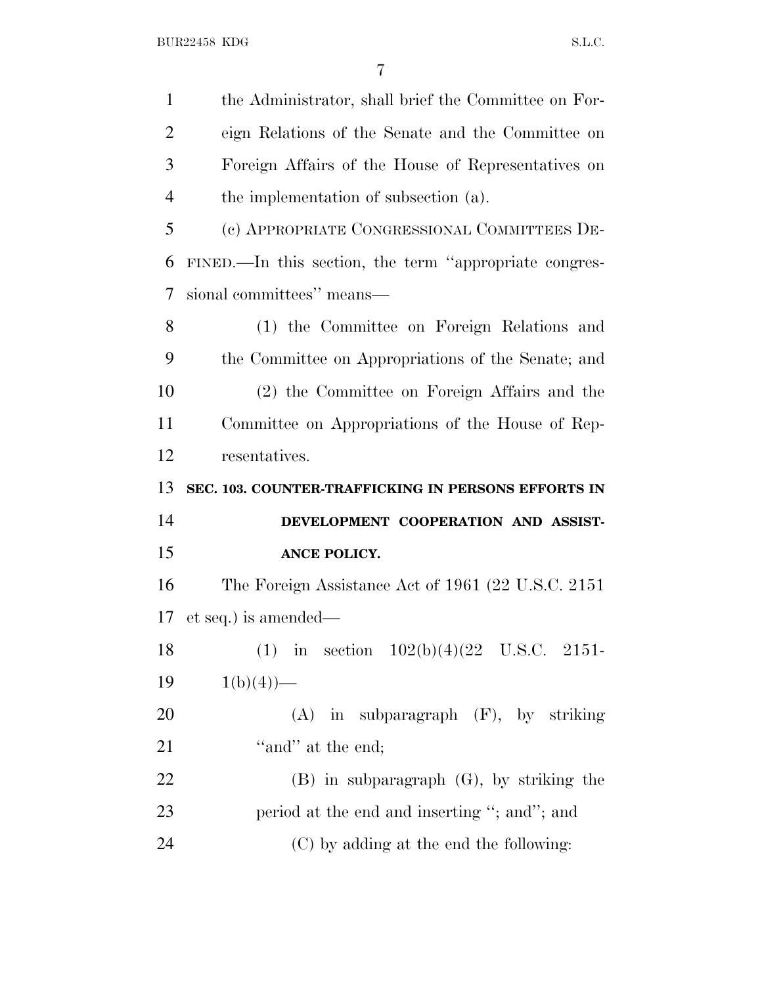| $\mathbf{1}$   | the Administrator, shall brief the Committee on For-   |
|----------------|--------------------------------------------------------|
| $\overline{2}$ | eign Relations of the Senate and the Committee on      |
| 3              | Foreign Affairs of the House of Representatives on     |
| $\overline{4}$ | the implementation of subsection (a).                  |
| 5              | (c) APPROPRIATE CONGRESSIONAL COMMITTEES DE-           |
| 6              | FINED.—In this section, the term "appropriate congres- |
| 7              | sional committees" means—                              |
| 8              | (1) the Committee on Foreign Relations and             |
| 9              | the Committee on Appropriations of the Senate; and     |
| 10             | (2) the Committee on Foreign Affairs and the           |
| 11             | Committee on Appropriations of the House of Rep-       |
| 12             | resentatives.                                          |
|                |                                                        |
| 13             | SEC. 103. COUNTER-TRAFFICKING IN PERSONS EFFORTS IN    |
| 14             | DEVELOPMENT COOPERATION AND ASSIST-                    |
| 15             | ANCE POLICY.                                           |
| 16             | The Foreign Assistance Act of 1961 (22 U.S.C. 2151)    |
| 17             | et seq.) is amended—                                   |
| 18             | (1) in section $102(b)(4)(22)$ U.S.C. 2151-            |
| 19             | $1(b)(4)$ —                                            |
| 20             | $(A)$ in subparagraph $(F)$ , by striking              |
| 21             | "and" at the end;                                      |
| 22             | $(B)$ in subparagraph $(G)$ , by striking the          |
| 23             | period at the end and inserting "; and"; and           |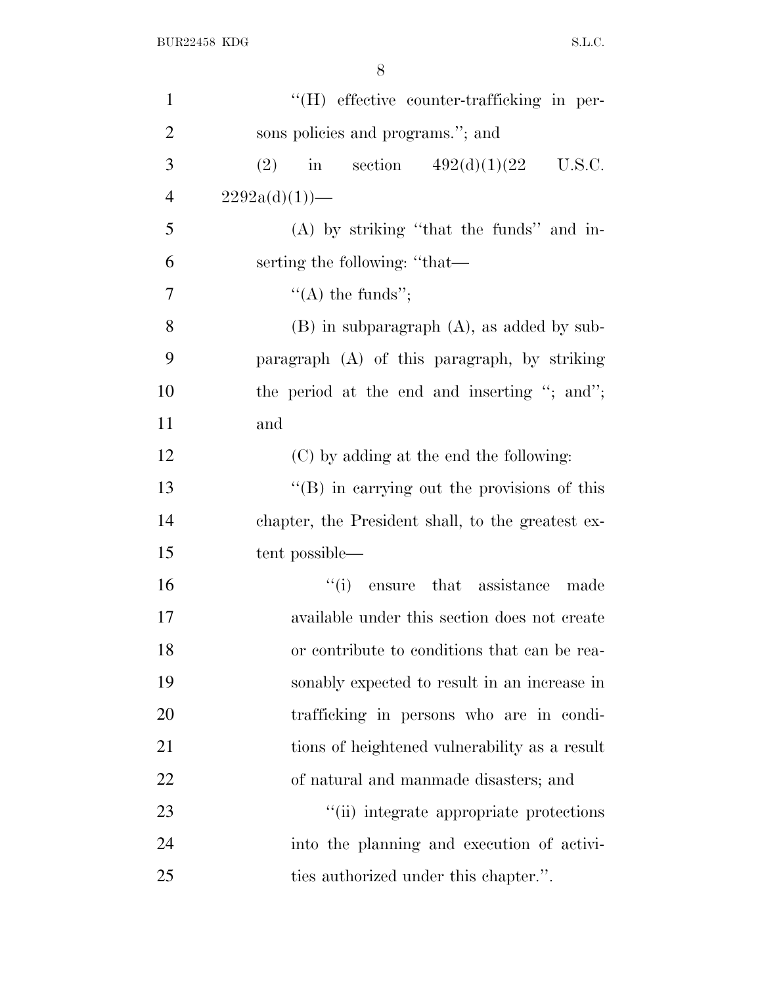| $\mathbf{1}$   | "(H) effective counter-trafficking in per-          |
|----------------|-----------------------------------------------------|
| $\overline{2}$ | sons policies and programs."; and                   |
| 3              | in section $492(d)(1)(22 \text{ U.S.C.})$<br>(2)    |
| $\overline{4}$ | $2292a(d)(1)$ —                                     |
| 5              | $(A)$ by striking "that the funds" and in-          |
| 6              | serting the following: "that—                       |
| $\overline{7}$ | $\lq\lq$ the funds";                                |
| 8              | $(B)$ in subparagraph $(A)$ , as added by sub-      |
| 9              | paragraph (A) of this paragraph, by striking        |
| 10             | the period at the end and inserting "; and";        |
| 11             | and                                                 |
| 12             | (C) by adding at the end the following:             |
| 13             | $\lq\lq (B)$ in carrying out the provisions of this |
| 14             | chapter, the President shall, to the greatest ex-   |
| 15             | tent possible—                                      |
| 16             | "(i) ensure that assistance made                    |
| 17             | available under this section does not create        |
| 18             | or contribute to conditions that can be rea-        |
| 19             | sonably expected to result in an increase in        |
| 20             | trafficking in persons who are in condi-            |
| 21             | tions of heightened vulnerability as a result       |
| 22             | of natural and manmade disasters; and               |
| 23             | "(ii) integrate appropriate protections             |
| 24             | into the planning and execution of activi-          |
| 25             | ties authorized under this chapter.".               |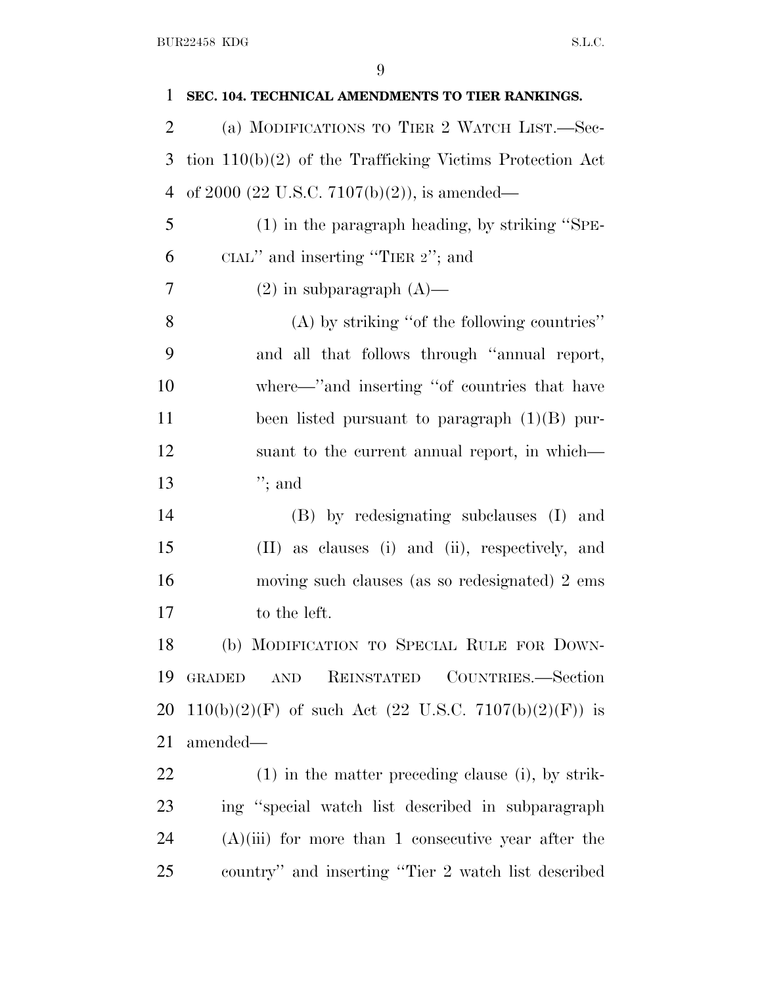| 1              | SEC. 104. TECHNICAL AMENDMENTS TO TIER RANKINGS.                       |
|----------------|------------------------------------------------------------------------|
| $\overline{2}$ | (a) MODIFICATIONS TO TIER 2 WATCH LIST.—Sec-                           |
| 3              | tion $110(b)(2)$ of the Trafficking Victims Protection Act             |
| 4              | of 2000 (22 U.S.C. 7107(b)(2)), is amended—                            |
| 5              | $(1)$ in the paragraph heading, by striking "SPE-                      |
| 6              | CIAL" and inserting "TIER 2"; and                                      |
| 7              | $(2)$ in subparagraph $(A)$ —                                          |
| 8              | $(A)$ by striking "of the following countries"                         |
| 9              | and all that follows through "annual report,                           |
| 10             | where—"and inserting "of countries that have                           |
| 11             | been listed pursuant to paragraph $(1)(B)$ pur-                        |
| 12             | suant to the current annual report, in which—                          |
| 13             | $";$ and                                                               |
| 14             | (B) by redesignating subclauses (I) and                                |
| 15             | (II) as clauses (i) and (ii), respectively, and                        |
| 16             | moving such clauses (as so redesignated) 2 ems                         |
| 17             | to the left.                                                           |
| 18             | (b) MODIFICATION TO SPECIAL RULE FOR DOWN-                             |
| 19             | REINSTATED COUNTRIES.-Section<br><b>GRADED</b><br>$\operatorname{AND}$ |
| 20             | $110(b)(2)(F)$ of such Act (22 U.S.C. 7107(b)(2)(F)) is                |
| 21             | amended—                                                               |
| 22             | $(1)$ in the matter preceding clause (i), by strik-                    |
| 23             | ing "special watch list described in subparagraph                      |
| 24             | $(A)(iii)$ for more than 1 consecutive year after the                  |
| 25             | country" and inserting "Tier 2 watch list described                    |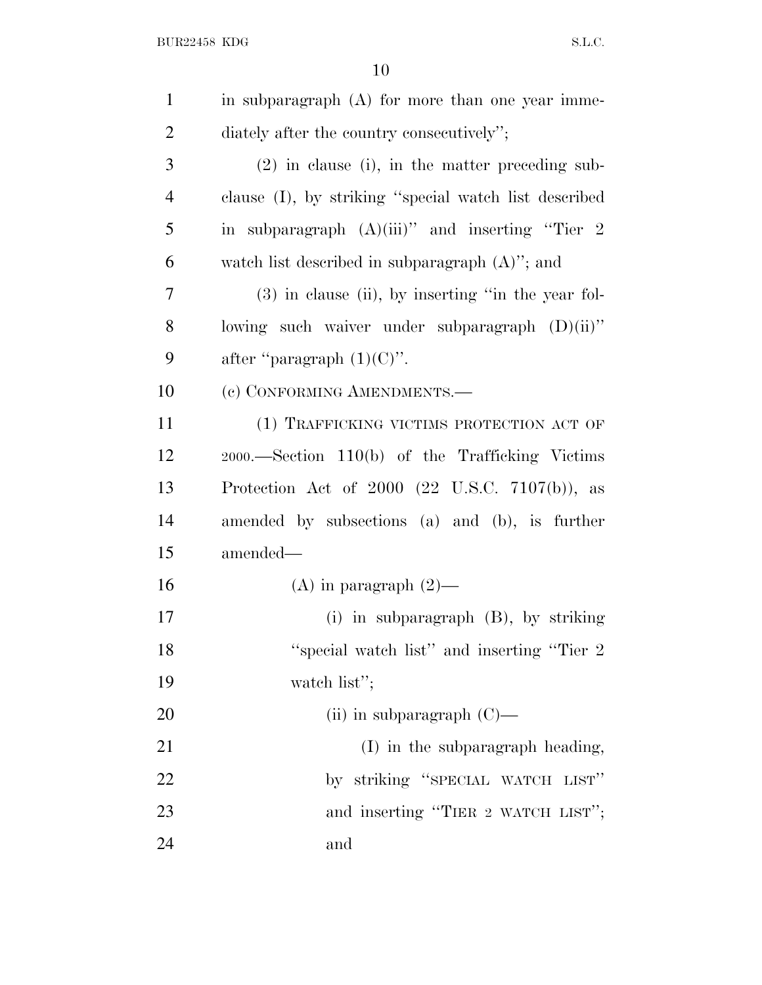| $\mathbf{1}$   | in subparagraph (A) for more than one year imme-      |
|----------------|-------------------------------------------------------|
| $\overline{2}$ | diately after the country consecutively";             |
| 3              | $(2)$ in clause (i), in the matter preceding sub-     |
| $\overline{4}$ | clause (I), by striking "special watch list described |
| 5              | in subparagraph $(A)(iii)$ " and inserting "Tier 2    |
| 6              | watch list described in subparagraph $(A)$ "; and     |
| 7              | $(3)$ in clause (ii), by inserting "in the year fol-  |
| 8              | lowing such waiver under subparagraph $(D)(ii)$ "     |
| 9              | after "paragraph $(1)(C)$ ".                          |
| 10             | (c) CONFORMING AMENDMENTS.-                           |
| 11             | (1) TRAFFICKING VICTIMS PROTECTION ACT OF             |
| 12             | 2000.—Section 110(b) of the Trafficking Victims       |
| 13             | Protection Act of $2000$ (22 U.S.C. 7107(b)), as      |
| 14             | amended by subsections (a) and (b), is further        |
| 15             | amended—                                              |
| 16             | (A) in paragraph $(2)$ —                              |
| 17             | (i) in subparagraph $(B)$ , by striking               |
| 18             | "special watch list" and inserting "Tier 2"           |
| 19             | watch list";                                          |
| 20             | (ii) in subparagraph $(C)$ —                          |
| 21             | (I) in the subparagraph heading,                      |
| 22             | by striking "SPECIAL WATCH LIST"                      |
| 23             | and inserting "TIER 2 WATCH LIST";                    |
| 24             | and                                                   |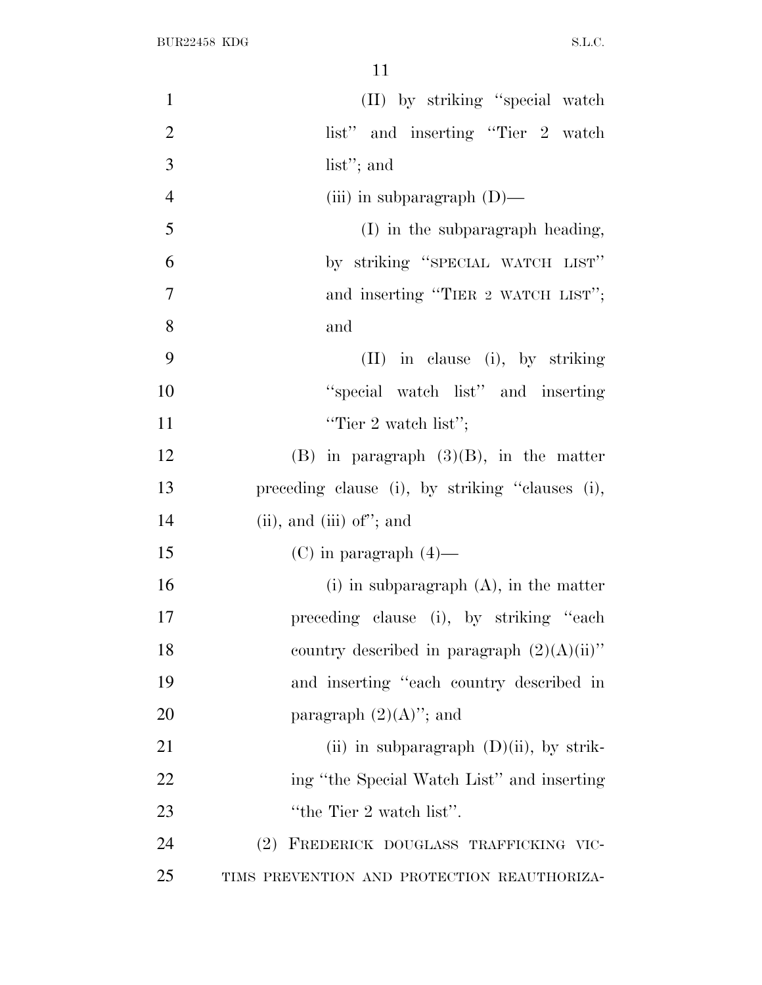| $\mathbf{1}$   | (II) by striking "special watch                 |
|----------------|-------------------------------------------------|
| $\overline{2}$ | list" and inserting "Tier 2 watch               |
| 3              | list"; and                                      |
| $\overline{4}$ | (iii) in subparagraph $(D)$ —                   |
| 5              | $(I)$ in the subparagraph heading,              |
| 6              | by striking "SPECIAL WATCH LIST"                |
| $\overline{7}$ | and inserting "TIER 2 WATCH LIST";              |
| 8              | and                                             |
| 9              | $(II)$ in clause (i), by striking               |
| 10             | "special watch list" and inserting              |
| 11             | "Tier 2 watch list";                            |
| 12             | $(B)$ in paragraph $(3)(B)$ , in the matter     |
| 13             | preceding clause (i), by striking "clauses (i), |
| 14             | $(ii)$ , and $(iii)$ of"; and                   |
| 15             | (C) in paragraph $(4)$ —                        |
| 16             | $(i)$ in subparagraph $(A)$ , in the matter     |
| 17             | preceding clause (i), by striking "each         |
| 18             | country described in paragraph $(2)(A)(ii)$ "   |
| 19             | and inserting "each country described in        |
| 20             | paragraph $(2)(A)$ "; and                       |
| 21             | (ii) in subparagraph $(D)(ii)$ , by strik-      |
| 22             | ing "the Special Watch List" and inserting      |
| 23             | "the Tier 2 watch list".                        |
| 24             | (2) FREDERICK DOUGLASS TRAFFICKING VIC-         |
| 25             | TIMS PREVENTION AND PROTECTION REAUTHORIZA-     |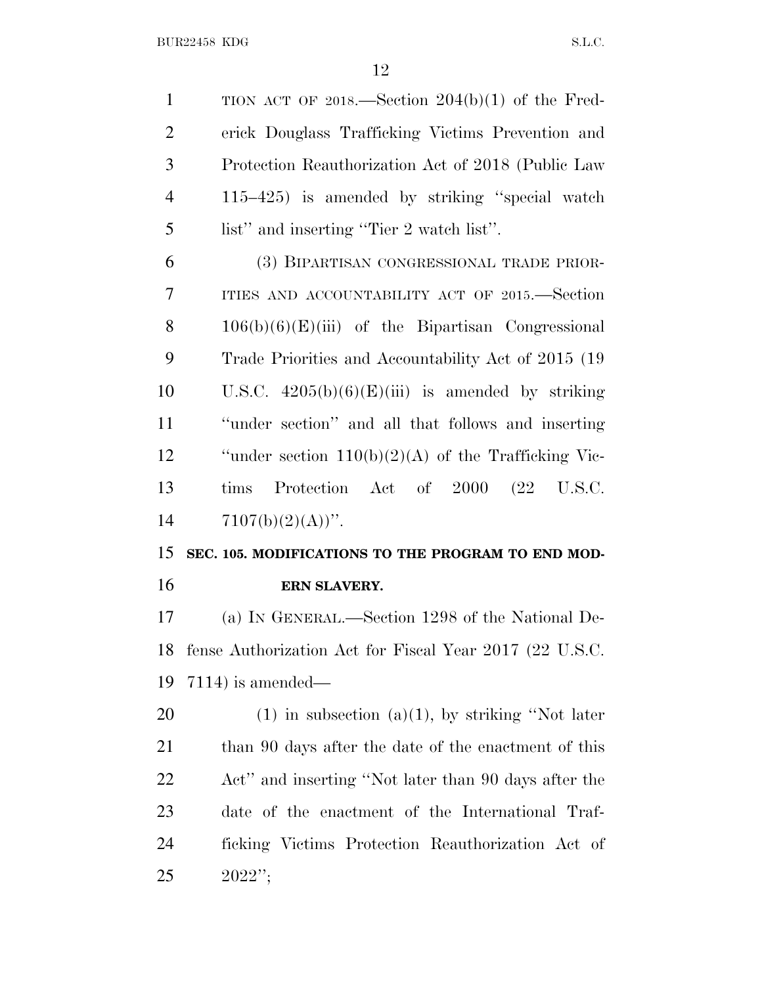BUR22458 KDG S.L.C.

 TION ACT OF 2018.—Section 204(b)(1) of the Fred- erick Douglass Trafficking Victims Prevention and Protection Reauthorization Act of 2018 (Public Law 115–425) is amended by striking ''special watch list'' and inserting ''Tier 2 watch list''.

 (3) BIPARTISAN CONGRESSIONAL TRADE PRIOR- ITIES AND ACCOUNTABILITY ACT OF 2015.—Section 106(b)(6)(E)(iii) of the Bipartisan Congressional Trade Priorities and Accountability Act of 2015 (19 10 U.S.C.  $4205(b)(6)(E(iii))$  is amended by striking ''under section'' and all that follows and inserting ''under section 110(b)(2)(A) of the Trafficking Vic- tims Protection Act of 2000 (22 U.S.C.  $7107(b)(2)(A))$ ".

# **SEC. 105. MODIFICATIONS TO THE PROGRAM TO END MOD-ERN SLAVERY.**

 (a) I<sup>N</sup> GENERAL.—Section 1298 of the National De- fense Authorization Act for Fiscal Year 2017 (22 U.S.C. 7114) is amended—

20 (1) in subsection (a)(1), by striking "Not later 21 than 90 days after the date of the enactment of this Act'' and inserting ''Not later than 90 days after the date of the enactment of the International Traf- ficking Victims Protection Reauthorization Act of 2022'';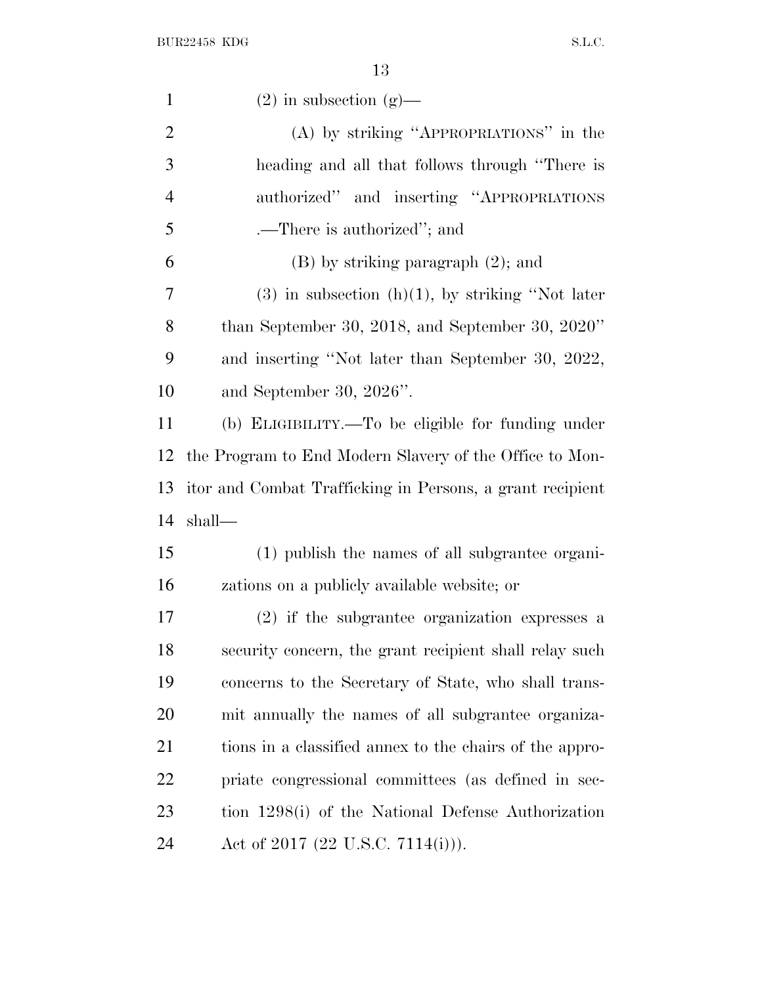| $\mathbf{1}$   | $(2)$ in subsection $(g)$ —                               |
|----------------|-----------------------------------------------------------|
| $\overline{2}$ | (A) by striking "APPROPRIATIONS" in the                   |
| 3              | heading and all that follows through "There is            |
| $\overline{4}$ | authorized" and inserting "APPROPRIATIONS"                |
| 5              | .—There is authorized"; and                               |
| 6              | $(B)$ by striking paragraph $(2)$ ; and                   |
| 7              | $(3)$ in subsection $(h)(1)$ , by striking "Not later     |
| 8              | than September 30, 2018, and September 30, $2020"$        |
| 9              | and inserting "Not later than September 30, 2022,         |
| 10             | and September 30, $2026$ ".                               |
| 11             | (b) ELIGIBILITY.—To be eligible for funding under         |
| 12             | the Program to End Modern Slavery of the Office to Mon-   |
| 13             | itor and Combat Trafficking in Persons, a grant recipient |
| 14             | shall—                                                    |
| 15             | (1) publish the names of all subgrantee organi-           |
| 16             | zations on a publicly available website; or               |
| 17             | (2) if the subgrantee organization expresses a            |
| 18             | security concern, the grant recipient shall relay such    |
| 19             | concerns to the Secretary of State, who shall trans-      |
| <b>20</b>      | mit annually the names of all subgrantee organiza-        |
| 21             | tions in a classified annex to the chairs of the appro-   |
| 22             | priate congressional committees (as defined in sec-       |
| 23             | tion 1298(i) of the National Defense Authorization        |
|                |                                                           |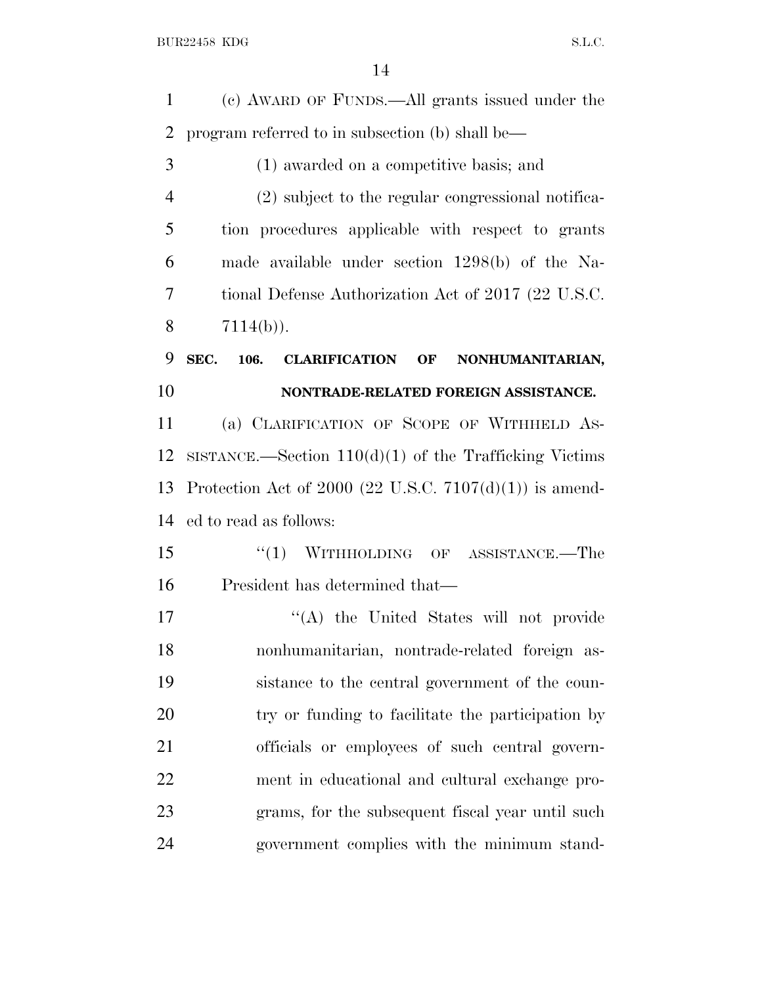(c) AWARD OF FUNDS.—All grants issued under the program referred to in subsection (b) shall be— (1) awarded on a competitive basis; and

 (2) subject to the regular congressional notifica- tion procedures applicable with respect to grants made available under section 1298(b) of the Na- tional Defense Authorization Act of 2017 (22 U.S.C.  $7114(b)$ ).

## **SEC. 106. CLARIFICATION OF NONHUMANITARIAN, NONTRADE-RELATED FOREIGN ASSISTANCE.**

 (a) CLARIFICATION OF SCOPE OF WITHHELD AS- SISTANCE.—Section 110(d)(1) of the Trafficking Victims Protection Act of 2000 (22 U.S.C. 7107(d)(1)) is amend-ed to read as follows:

15 "(1) WITHHOLDING OF ASSISTANCE.—The President has determined that—

17 "'(A) the United States will not provide nonhumanitarian, nontrade-related foreign as- sistance to the central government of the coun- try or funding to facilitate the participation by officials or employees of such central govern- ment in educational and cultural exchange pro- grams, for the subsequent fiscal year until such government complies with the minimum stand-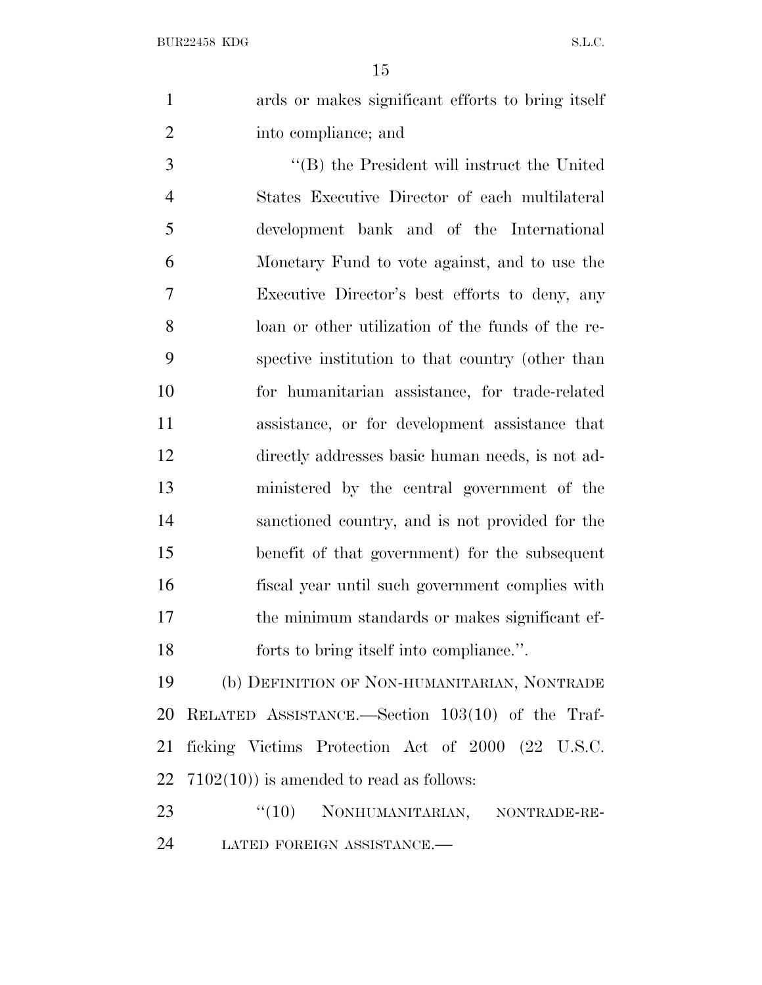ards or makes significant efforts to bring itself into compliance; and

 ''(B) the President will instruct the United States Executive Director of each multilateral development bank and of the International Monetary Fund to vote against, and to use the Executive Director's best efforts to deny, any loan or other utilization of the funds of the re- spective institution to that country (other than for humanitarian assistance, for trade-related assistance, or for development assistance that directly addresses basic human needs, is not ad- ministered by the central government of the sanctioned country, and is not provided for the benefit of that government) for the subsequent fiscal year until such government complies with the minimum standards or makes significant ef-forts to bring itself into compliance.''.

 (b) DEFINITION OF NON-HUMANITARIAN, NONTRADE RELATED ASSISTANCE.—Section 103(10) of the Traf- ficking Victims Protection Act of 2000 (22 U.S.C.  $7102(10)$  is amended to read as follows:

23 "(10) NONHUMANITARIAN, NONTRADE-RE-LATED FOREIGN ASSISTANCE.—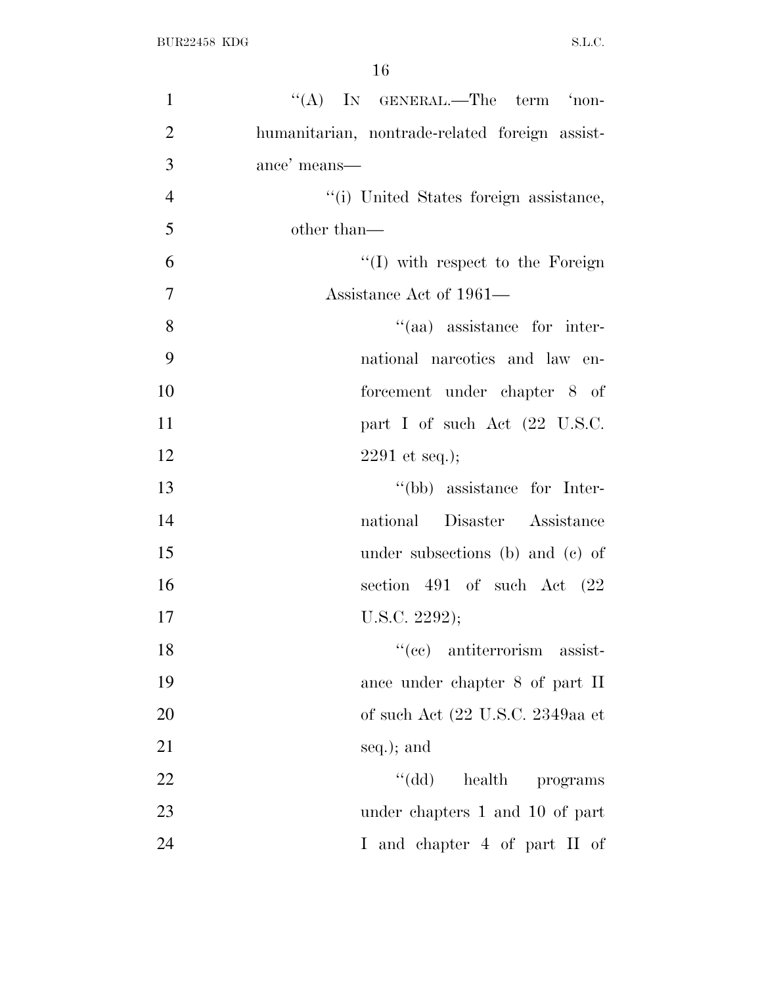| $\mathbf{1}$   | "(A) IN GENERAL.—The term 'non-                |
|----------------|------------------------------------------------|
| $\overline{2}$ | humanitarian, nontrade-related foreign assist- |
| 3              | ance' means—                                   |
| $\overline{4}$ | "(i) United States foreign assistance,         |
| 5              | other than—                                    |
| 6              | $\lq\lq$ (I) with respect to the Foreign       |
| $\overline{7}$ | Assistance Act of 1961—                        |
| 8              | "(aa) assistance for inter-                    |
| 9              | national narcotics and law en-                 |
| 10             | forcement under chapter 8 of                   |
| 11             | part I of such Act (22 U.S.C.                  |
| 12             | $2291$ et seq.);                               |
| 13             | "(bb) assistance for Inter-                    |
| 14             | national Disaster Assistance                   |
| 15             | under subsections (b) and (c) of               |
| 16             | section 491 of such Act $(22)$                 |
| 17             | U.S.C. $2292$ );                               |
| 18             | "(cc) antiterrorism assist-                    |
| 19             | ance under chapter 8 of part II                |
| 20             | of such Act (22 U.S.C. 2349aa et               |
| 21             | seq.); and                                     |
| 22             | $``(\mathrm{dd})$<br>health programs           |
| 23             | under chapters 1 and 10 of part                |
| 24             | I and chapter 4 of part II of                  |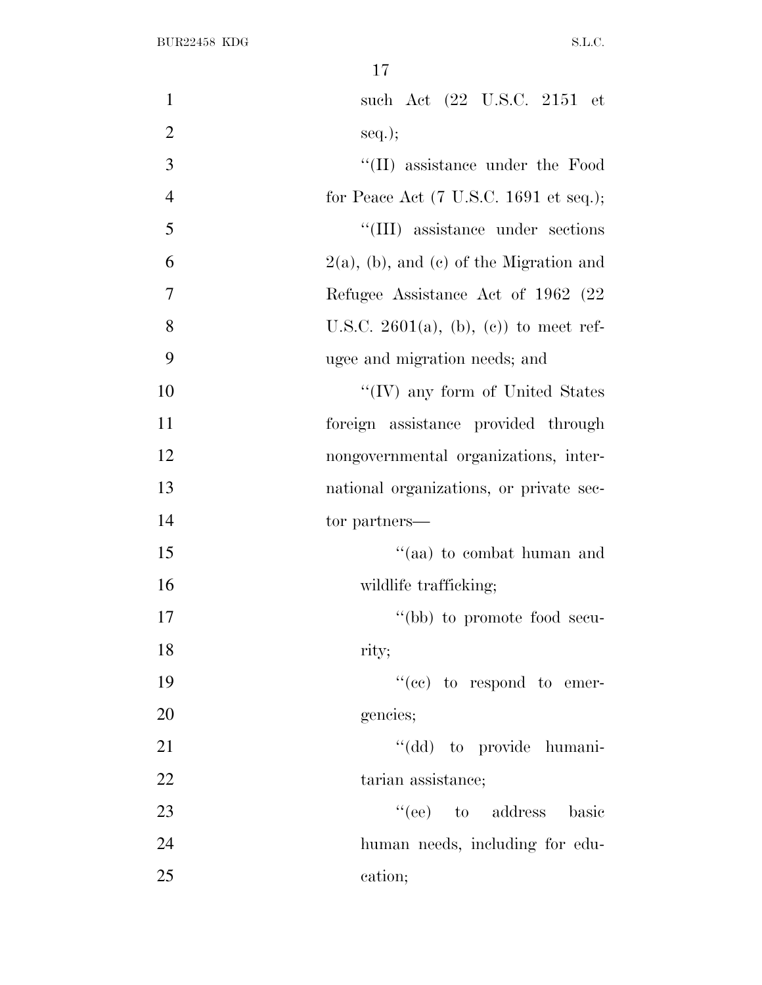| $\mathbf{1}$   | such Act (22 U.S.C. 2151 et                               |
|----------------|-----------------------------------------------------------|
| $\overline{2}$ | $seq.$ ;                                                  |
| 3              | "(II) assistance under the Food                           |
| $\overline{4}$ | for Peace Act $(7 \text{ U.S.C. } 1691 \text{ et seq.});$ |
| 5              | "(III) assistance under sections                          |
| 6              | $2(a)$ , (b), and (c) of the Migration and                |
| $\overline{7}$ | Refugee Assistance Act of 1962 (22)                       |
| $8\,$          | U.S.C. 2601(a), (b), (c)) to meet ref-                    |
| 9              | ugee and migration needs; and                             |
| 10             | "(IV) any form of United States                           |
| 11             | foreign assistance provided through                       |
| 12             | nongovernmental organizations, inter-                     |
| 13             | national organizations, or private sec-                   |
| 14             | tor partners—                                             |
| 15             | "(aa) to combat human and                                 |
| 16             | wildlife trafficking;                                     |
| 17             | "(bb) to promote food secu-                               |
| 18             | rity;                                                     |
| 19             | "(cc) to respond to emer-                                 |
| 20             | gencies;                                                  |
| 21             | "(dd) to provide humani-                                  |
| 22             | tarian assistance;                                        |
| 23             | "(ee) to address basic                                    |
| 24             | human needs, including for edu-                           |
| 25             | cation;                                                   |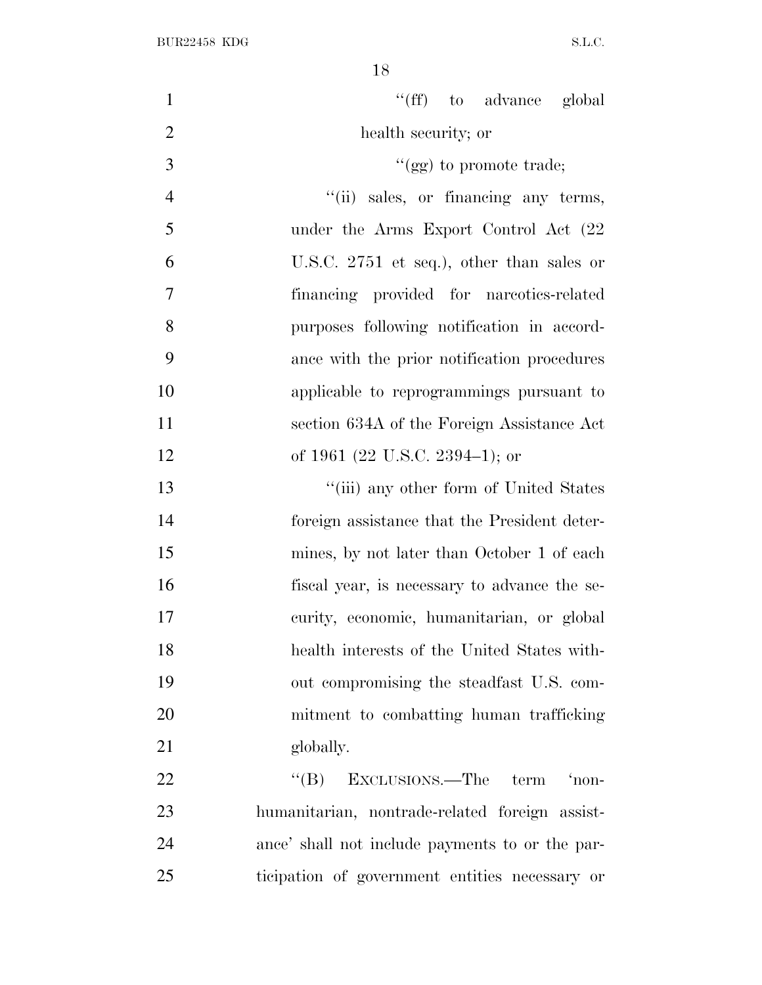| $\mathbf{1}$   | "(ff) to advance global                          |
|----------------|--------------------------------------------------|
| $\overline{2}$ | health security; or                              |
| 3              | " $(gg)$ to promote trade;                       |
| $\overline{4}$ | "(ii) sales, or financing any terms,             |
| 5              | under the Arms Export Control Act (22            |
| 6              | U.S.C. $2751$ et seq.), other than sales or      |
| $\overline{7}$ | financing provided for narcotics-related         |
| 8              | purposes following notification in accord-       |
| 9              | ance with the prior notification procedures      |
| 10             | applicable to reprogrammings pursuant to         |
| 11             | section 634A of the Foreign Assistance Act       |
| 12             | of 1961 (22 U.S.C. 2394–1); or                   |
| 13             | "(iii) any other form of United States           |
| 14             | foreign assistance that the President deter-     |
| 15             | mines, by not later than October 1 of each       |
| 16             | fiscal year, is necessary to advance the se-     |
| 17             | curity, economic, humanitarian, or global        |
| 18             | health interests of the United States with-      |
| 19             | out compromising the steadfast U.S. com-         |
| 20             | mitment to combatting human trafficking          |
| 21             | globally.                                        |
| 22             | EXCLUSIONS.—The<br>'non-<br>$\lq\lq (B)$<br>term |
| 23             | humanitarian, nontrade-related foreign assist-   |
| 24             | ance' shall not include payments to or the par-  |
| 25             | ticipation of government entities necessary or   |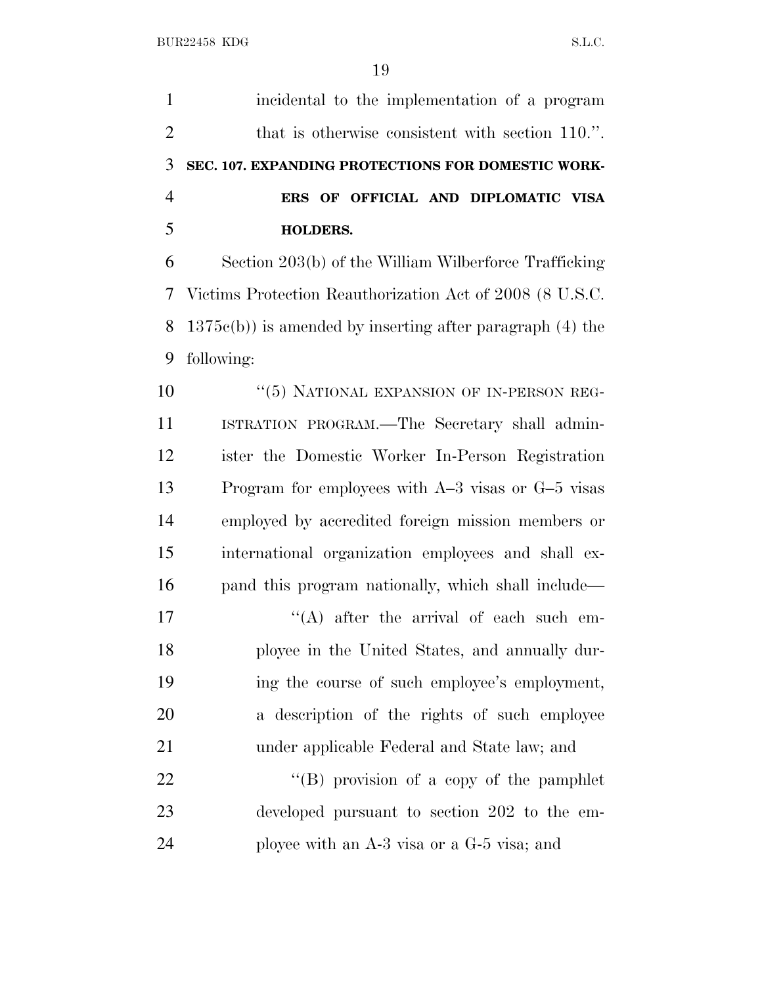| $\mathbf{1}$   | incidental to the implementation of a program                  |
|----------------|----------------------------------------------------------------|
| $\overline{2}$ | that is otherwise consistent with section 110.".               |
| 3              | SEC. 107. EXPANDING PROTECTIONS FOR DOMESTIC WORK-             |
| $\overline{4}$ | ERS OF OFFICIAL AND DIPLOMATIC VISA                            |
| 5              | <b>HOLDERS.</b>                                                |
| 6              | Section 203(b) of the William Wilberforce Trafficking          |
| 7              | Victims Protection Reauthorization Act of 2008 (8 U.S.C.       |
| 8              | $1375c(b)$ ) is amended by inserting after paragraph $(4)$ the |
| 9              | following:                                                     |
| 10             | "(5) NATIONAL EXPANSION OF IN-PERSON REG-                      |
| 11             | ISTRATION PROGRAM.—The Secretary shall admin-                  |
| 12             | ister the Domestic Worker In-Person Registration               |
| 13             | Program for employees with $A-3$ visas or $G-5$ visas          |
| 14             | employed by accredited foreign mission members or              |
| 15             | international organization employees and shall ex-             |
| 16             | pand this program nationally, which shall include—             |
| 17             | $\lq\lq$ after the arrival of each such em-                    |
| 18             | ployee in the United States, and annually dur-                 |
| 19             | ing the course of such employee's employment,                  |
| 20             | a description of the rights of such employee                   |
| 21             | under applicable Federal and State law; and                    |
| <u>22</u>      | "(B) provision of a copy of the pamphlet                       |
| 23             | developed pursuant to section 202 to the em-                   |
| 24             | ployee with an $A-3$ visa or a $G-5$ visa; and                 |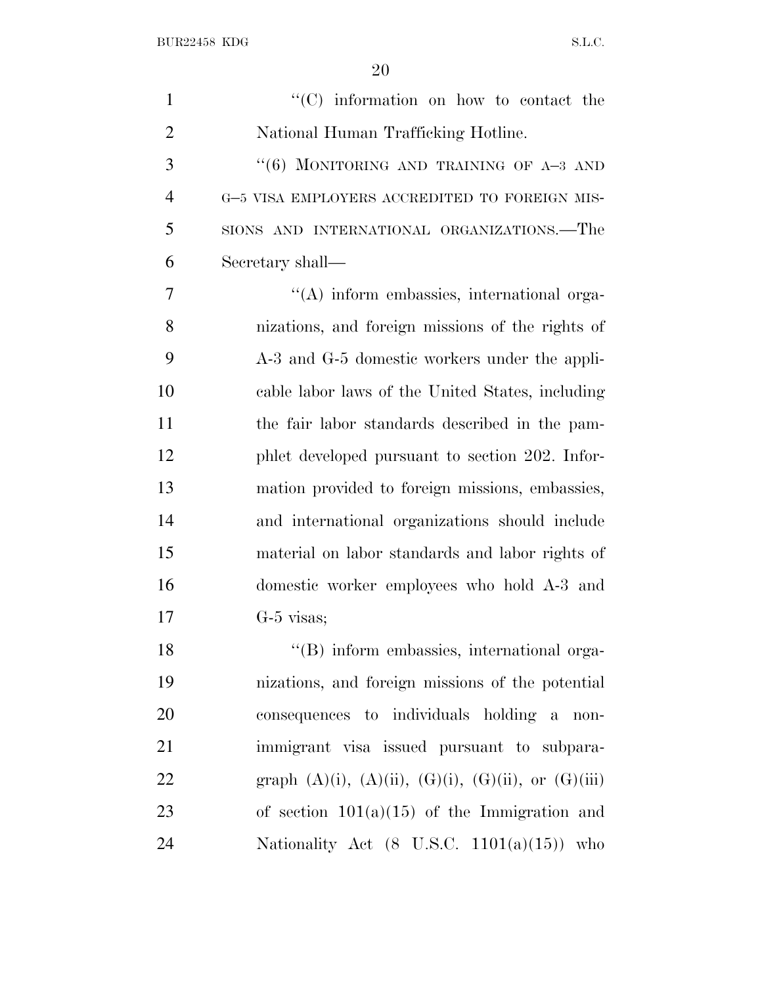| $\mathbf{1}$   | "(C) information on how to contact the                            |
|----------------|-------------------------------------------------------------------|
| $\overline{2}$ | National Human Trafficking Hotline.                               |
| 3              | "(6) MONITORING AND TRAINING OF $A-3$ AND                         |
| $\overline{4}$ | G-5 VISA EMPLOYERS ACCREDITED TO FOREIGN MIS-                     |
| 5              | SIONS AND INTERNATIONAL ORGANIZATIONS.-The                        |
| 6              | Secretary shall—                                                  |
| 7              | $\lq\lq$ inform embassies, international orga-                    |
| 8              | nizations, and foreign missions of the rights of                  |
| 9              | A-3 and G-5 domestic workers under the appli-                     |
| 10             | cable labor laws of the United States, including                  |
| 11             | the fair labor standards described in the pam-                    |
| 12             | phlet developed pursuant to section 202. Infor-                   |
| 13             | mation provided to foreign missions, embassies,                   |
| 14             | and international organizations should include                    |
| 15             | material on labor standards and labor rights of                   |
| 16             | domestic worker employees who hold A-3 and                        |
| 17             | $G-5$ visas;                                                      |
| 18             | "(B) inform embassies, international orga-                        |
| 19             | nizations, and foreign missions of the potential                  |
| 20             | consequences to individuals holding a non-                        |
| 21             | immigrant visa issued pursuant to subpara-                        |
| 22             | graph $(A)(i)$ , $(A)(ii)$ , $(G)(i)$ , $(G)(ii)$ , or $(G)(iii)$ |
| 23             | of section $101(a)(15)$ of the Immigration and                    |
| 24             | Nationality Act $(8 \text{ U.S.C. } 1101(a)(15))$ who             |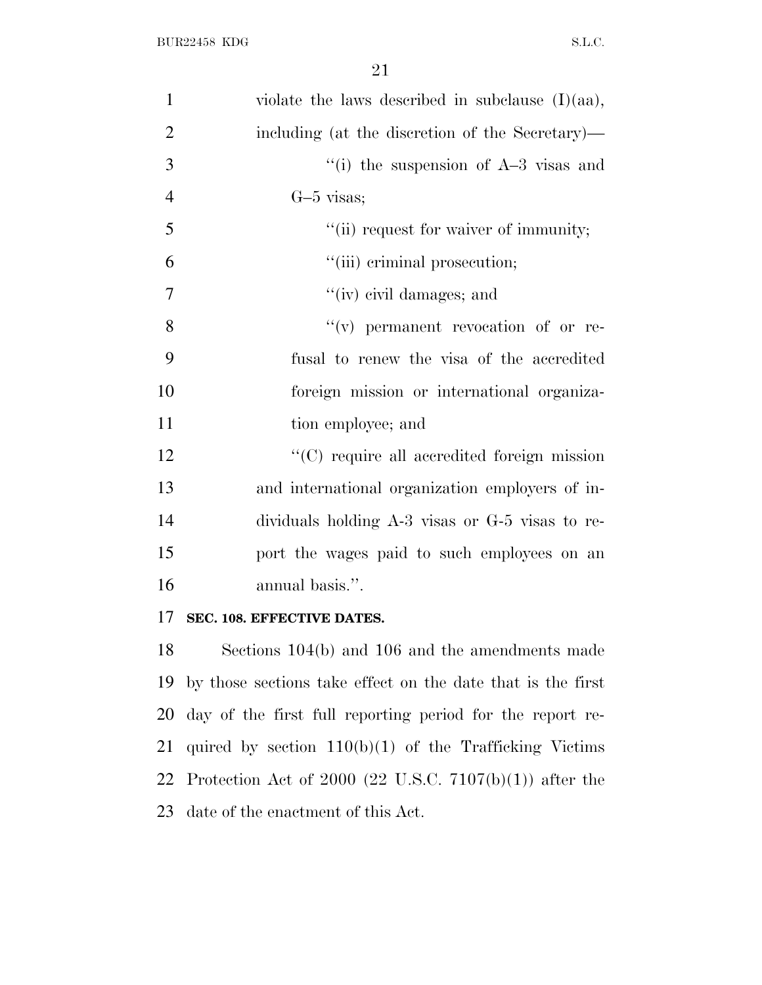| $\mathbf{1}$   | violate the laws described in subclause $(I)(aa)$ , |
|----------------|-----------------------------------------------------|
| $\overline{2}$ | including (at the discretion of the Secretary)—     |
| 3              | "(i) the suspension of $A-3$ visas and              |
| $\overline{4}$ | $G-5$ visas;                                        |
| 5              | "(ii) request for waiver of immunity;               |
| 6              | "(iii) criminal prosecution;                        |
| $\tau$         | $``(iv)$ civil damages; and                         |
| 8              | $f'(v)$ permanent revocation of or re-              |
| 9              | fusal to renew the visa of the accredited           |
| 10             | foreign mission or international organiza-          |
| 11             | tion employee; and                                  |
| 12             | "(C) require all accredited foreign mission         |
| 13             | and international organization employers of in-     |
| 14             | dividuals holding A-3 visas or G-5 visas to re-     |
| 15             | port the wages paid to such employees on an         |
| 16             | annual basis.".                                     |
|                |                                                     |

### **SEC. 108. EFFECTIVE DATES.**

 Sections 104(b) and 106 and the amendments made by those sections take effect on the date that is the first day of the first full reporting period for the report re- quired by section 110(b)(1) of the Trafficking Victims Protection Act of 2000 (22 U.S.C. 7107(b)(1)) after the date of the enactment of this Act.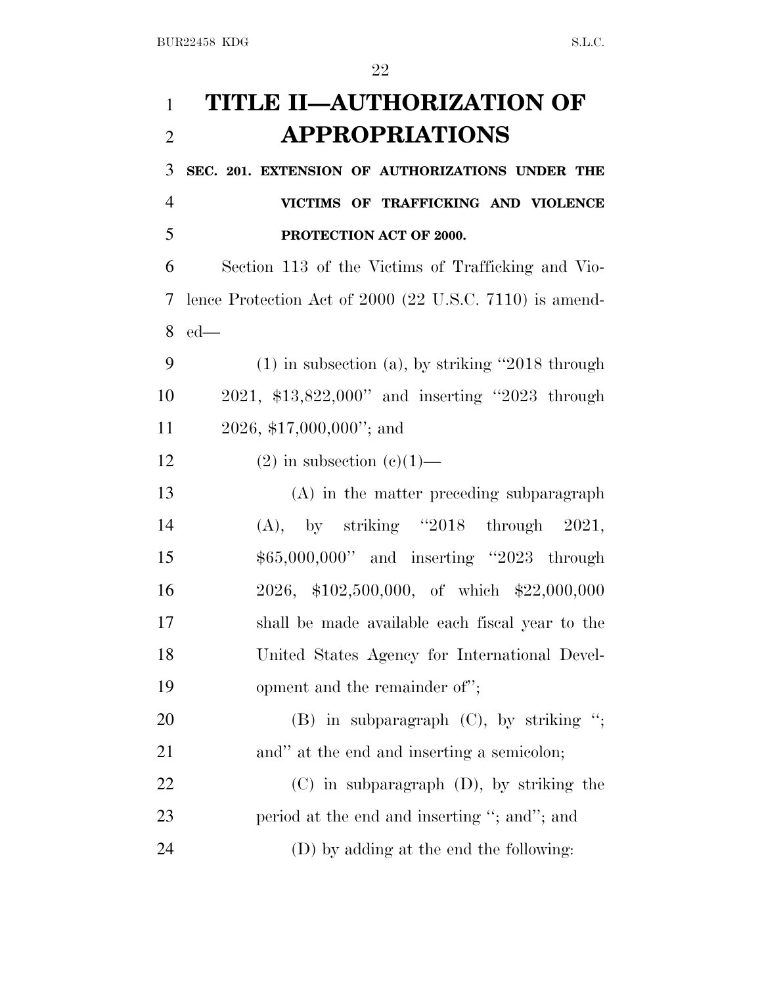# **TITLE II—AUTHORIZATION OF APPROPRIATIONS**

 **SEC. 201. EXTENSION OF AUTHORIZATIONS UNDER THE VICTIMS OF TRAFFICKING AND VIOLENCE PROTECTION ACT OF 2000.**

 Section 113 of the Victims of Trafficking and Vio- lence Protection Act of 2000 (22 U.S.C. 7110) is amend-ed—

 (1) in subsection (a), by striking ''2018 through 2021, \$13,822,000'' and inserting ''2023 through 2026, \$17,000,000''; and

12 (2) in subsection  $(c)(1)$ —

 (A) in the matter preceding subparagraph (A), by striking ''2018 through 2021, \$65,000,000'' and inserting ''2023 through 2026, \$102,500,000, of which \$22,000,000 shall be made available each fiscal year to the United States Agency for International Devel-19 opment and the remainder of";

20 (B) in subparagraph (C), by striking "; 21 and" at the end and inserting a semicolon;

 (C) in subparagraph (D), by striking the 23 period at the end and inserting "; and"; and (D) by adding at the end the following: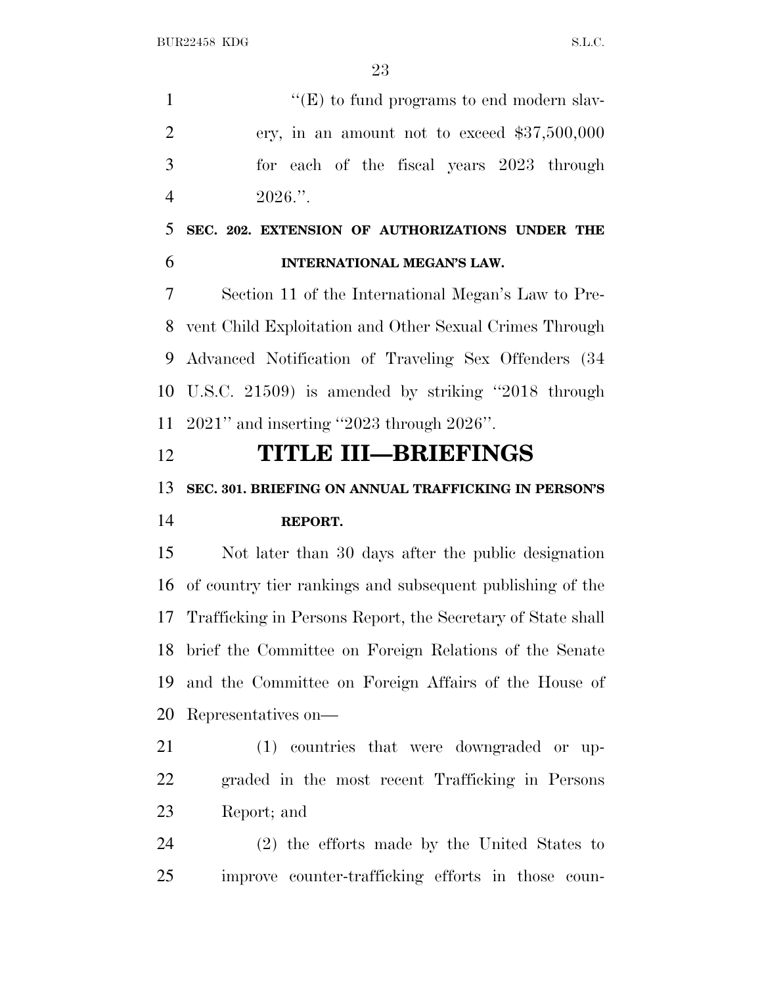$"({\rm E})$  to fund programs to end modern slav- ery, in an amount not to exceed \$37,500,000 for each of the fiscal years 2023 through 4 .".

 **SEC. 202. EXTENSION OF AUTHORIZATIONS UNDER THE INTERNATIONAL MEGAN'S LAW.**

 Section 11 of the International Megan's Law to Pre- vent Child Exploitation and Other Sexual Crimes Through Advanced Notification of Traveling Sex Offenders (34 U.S.C. 21509) is amended by striking ''2018 through 2021'' and inserting ''2023 through 2026''.

### **TITLE III—BRIEFINGS**

# **SEC. 301. BRIEFING ON ANNUAL TRAFFICKING IN PERSON'S REPORT.**

 Not later than 30 days after the public designation of country tier rankings and subsequent publishing of the Trafficking in Persons Report, the Secretary of State shall brief the Committee on Foreign Relations of the Senate and the Committee on Foreign Affairs of the House of Representatives on—

 (1) countries that were downgraded or up- graded in the most recent Trafficking in Persons Report; and

 (2) the efforts made by the United States to improve counter-trafficking efforts in those coun-